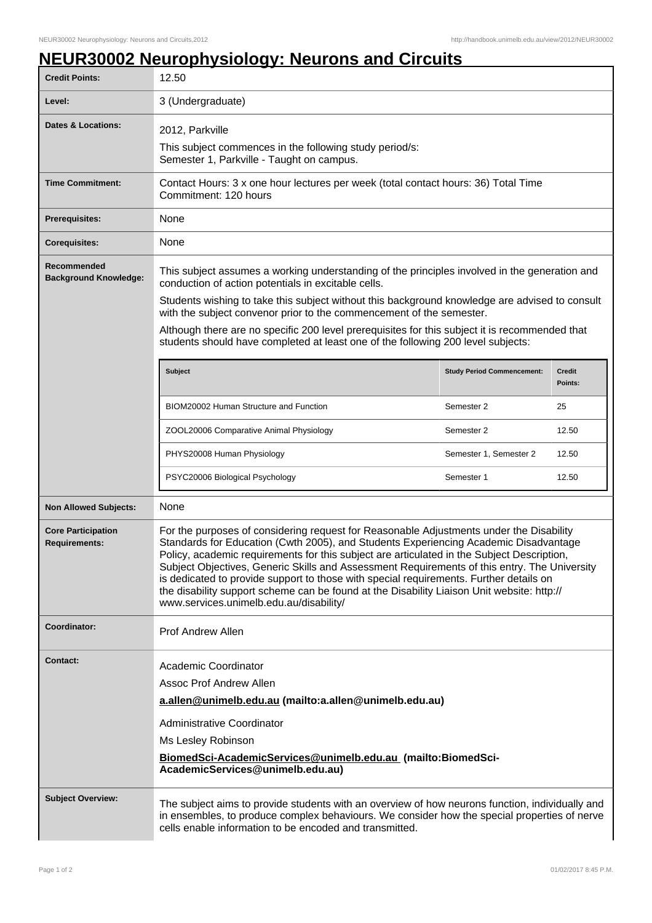## **NEUR30002 Neurophysiology: Neurons and Circuits**

| <b>Credit Points:</b>                             | 12.50                                                                                                                                                                                                                                                                                                                                                                                                                                                                                                                                                                                                            |                                   |                          |  |
|---------------------------------------------------|------------------------------------------------------------------------------------------------------------------------------------------------------------------------------------------------------------------------------------------------------------------------------------------------------------------------------------------------------------------------------------------------------------------------------------------------------------------------------------------------------------------------------------------------------------------------------------------------------------------|-----------------------------------|--------------------------|--|
| Level:                                            | 3 (Undergraduate)                                                                                                                                                                                                                                                                                                                                                                                                                                                                                                                                                                                                |                                   |                          |  |
| Dates & Locations:                                | 2012, Parkville                                                                                                                                                                                                                                                                                                                                                                                                                                                                                                                                                                                                  |                                   |                          |  |
|                                                   | This subject commences in the following study period/s:<br>Semester 1, Parkville - Taught on campus.                                                                                                                                                                                                                                                                                                                                                                                                                                                                                                             |                                   |                          |  |
| <b>Time Commitment:</b>                           | Contact Hours: 3 x one hour lectures per week (total contact hours: 36) Total Time<br>Commitment: 120 hours                                                                                                                                                                                                                                                                                                                                                                                                                                                                                                      |                                   |                          |  |
| <b>Prerequisites:</b>                             | None                                                                                                                                                                                                                                                                                                                                                                                                                                                                                                                                                                                                             |                                   |                          |  |
| <b>Corequisites:</b>                              | None                                                                                                                                                                                                                                                                                                                                                                                                                                                                                                                                                                                                             |                                   |                          |  |
| Recommended<br><b>Background Knowledge:</b>       | This subject assumes a working understanding of the principles involved in the generation and<br>conduction of action potentials in excitable cells.                                                                                                                                                                                                                                                                                                                                                                                                                                                             |                                   |                          |  |
|                                                   | Students wishing to take this subject without this background knowledge are advised to consult<br>with the subject convenor prior to the commencement of the semester.                                                                                                                                                                                                                                                                                                                                                                                                                                           |                                   |                          |  |
|                                                   | Although there are no specific 200 level prerequisites for this subject it is recommended that<br>students should have completed at least one of the following 200 level subjects:                                                                                                                                                                                                                                                                                                                                                                                                                               |                                   |                          |  |
|                                                   | <b>Subject</b>                                                                                                                                                                                                                                                                                                                                                                                                                                                                                                                                                                                                   | <b>Study Period Commencement:</b> | <b>Credit</b><br>Points: |  |
|                                                   | BIOM20002 Human Structure and Function                                                                                                                                                                                                                                                                                                                                                                                                                                                                                                                                                                           | Semester 2                        | 25                       |  |
|                                                   | ZOOL20006 Comparative Animal Physiology                                                                                                                                                                                                                                                                                                                                                                                                                                                                                                                                                                          | Semester 2                        | 12.50                    |  |
|                                                   | PHYS20008 Human Physiology                                                                                                                                                                                                                                                                                                                                                                                                                                                                                                                                                                                       | Semester 1, Semester 2            | 12.50                    |  |
|                                                   | PSYC20006 Biological Psychology                                                                                                                                                                                                                                                                                                                                                                                                                                                                                                                                                                                  | Semester 1                        | 12.50                    |  |
| <b>Non Allowed Subjects:</b>                      | None                                                                                                                                                                                                                                                                                                                                                                                                                                                                                                                                                                                                             |                                   |                          |  |
| <b>Core Participation</b><br><b>Requirements:</b> | For the purposes of considering request for Reasonable Adjustments under the Disability<br>Standards for Education (Cwth 2005), and Students Experiencing Academic Disadvantage<br>Policy, academic requirements for this subject are articulated in the Subject Description,<br>Subject Objectives, Generic Skills and Assessment Requirements of this entry. The University<br>is dedicated to provide support to those with special requirements. Further details on<br>the disability support scheme can be found at the Disability Liaison Unit website: http://<br>www.services.unimelb.edu.au/disability/ |                                   |                          |  |
| Coordinator:                                      | <b>Prof Andrew Allen</b>                                                                                                                                                                                                                                                                                                                                                                                                                                                                                                                                                                                         |                                   |                          |  |
| <b>Contact:</b>                                   | Academic Coordinator<br>Assoc Prof Andrew Allen<br>a.allen@unimelb.edu.au (mailto:a.allen@unimelb.edu.au)<br>Administrative Coordinator<br>Ms Lesley Robinson<br>BiomedSci-AcademicServices@unimelb.edu.au (mailto:BiomedSci-<br>AcademicServices@unimelb.edu.au)                                                                                                                                                                                                                                                                                                                                                |                                   |                          |  |
| <b>Subject Overview:</b>                          | The subject aims to provide students with an overview of how neurons function, individually and<br>in ensembles, to produce complex behaviours. We consider how the special properties of nerve<br>cells enable information to be encoded and transmitted.                                                                                                                                                                                                                                                                                                                                                       |                                   |                          |  |